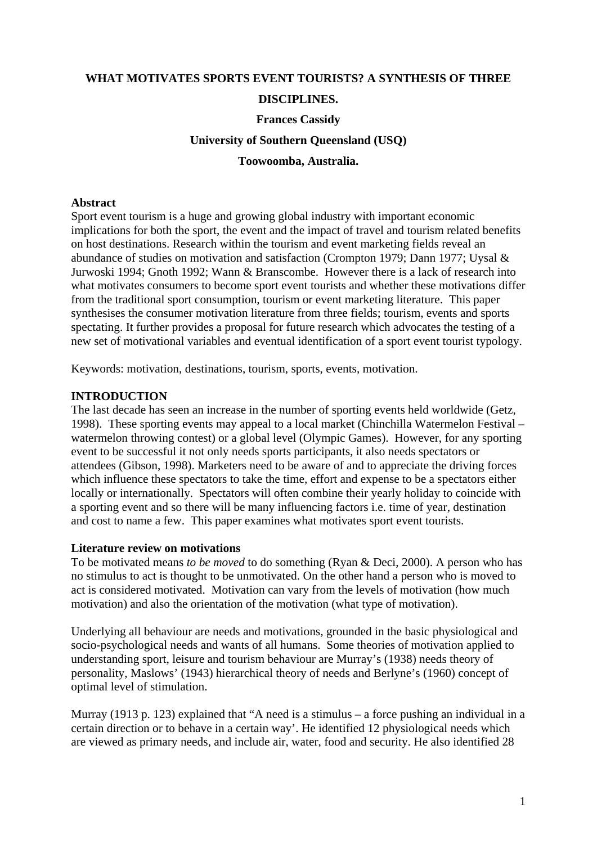# **WHAT MOTIVATES SPORTS EVENT TOURISTS? A SYNTHESIS OF THREE DISCIPLINES. Frances Cassidy University of Southern Queensland (USQ) Toowoomba, Australia.**

### **Abstract**

Sport event tourism is a huge and growing global industry with important economic implications for both the sport, the event and the impact of travel and tourism related benefits on host destinations. Research within the tourism and event marketing fields reveal an abundance of studies on motivation and satisfaction (Crompton 1979; Dann 1977; Uysal & Jurwoski 1994; Gnoth 1992; Wann & Branscombe. However there is a lack of research into what motivates consumers to become sport event tourists and whether these motivations differ from the traditional sport consumption, tourism or event marketing literature. This paper synthesises the consumer motivation literature from three fields; tourism, events and sports spectating. It further provides a proposal for future research which advocates the testing of a new set of motivational variables and eventual identification of a sport event tourist typology.

Keywords: motivation, destinations, tourism, sports, events, motivation.

#### **INTRODUCTION**

The last decade has seen an increase in the number of sporting events held worldwide (Getz, 1998). These sporting events may appeal to a local market (Chinchilla Watermelon Festival – watermelon throwing contest) or a global level (Olympic Games). However, for any sporting event to be successful it not only needs sports participants, it also needs spectators or attendees (Gibson, 1998). Marketers need to be aware of and to appreciate the driving forces which influence these spectators to take the time, effort and expense to be a spectators either locally or internationally. Spectators will often combine their yearly holiday to coincide with a sporting event and so there will be many influencing factors i.e. time of year, destination and cost to name a few. This paper examines what motivates sport event tourists.

#### **Literature review on motivations**

To be motivated means *to be moved* to do something (Ryan & Deci, 2000). A person who has no stimulus to act is thought to be unmotivated. On the other hand a person who is moved to act is considered motivated. Motivation can vary from the levels of motivation (how much motivation) and also the orientation of the motivation (what type of motivation).

Underlying all behaviour are needs and motivations, grounded in the basic physiological and socio-psychological needs and wants of all humans. Some theories of motivation applied to understanding sport, leisure and tourism behaviour are Murray's (1938) needs theory of personality, Maslows' (1943) hierarchical theory of needs and Berlyne's (1960) concept of optimal level of stimulation.

Murray (1913 p. 123) explained that "A need is a stimulus – a force pushing an individual in a certain direction or to behave in a certain way'. He identified 12 physiological needs which are viewed as primary needs, and include air, water, food and security. He also identified 28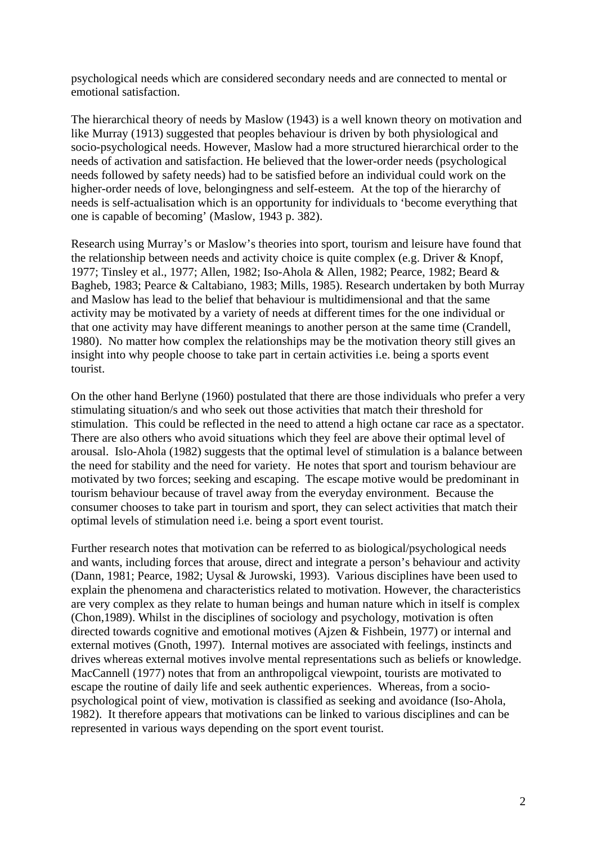psychological needs which are considered secondary needs and are connected to mental or emotional satisfaction.

The hierarchical theory of needs by Maslow (1943) is a well known theory on motivation and like Murray (1913) suggested that peoples behaviour is driven by both physiological and socio-psychological needs. However, Maslow had a more structured hierarchical order to the needs of activation and satisfaction. He believed that the lower-order needs (psychological needs followed by safety needs) had to be satisfied before an individual could work on the higher-order needs of love, belongingness and self-esteem. At the top of the hierarchy of needs is self-actualisation which is an opportunity for individuals to 'become everything that one is capable of becoming' (Maslow, 1943 p. 382).

Research using Murray's or Maslow's theories into sport, tourism and leisure have found that the relationship between needs and activity choice is quite complex (e.g. Driver & Knopf, 1977; Tinsley et al., 1977; Allen, 1982; Iso-Ahola & Allen, 1982; Pearce, 1982; Beard & Bagheb, 1983; Pearce & Caltabiano, 1983; Mills, 1985). Research undertaken by both Murray and Maslow has lead to the belief that behaviour is multidimensional and that the same activity may be motivated by a variety of needs at different times for the one individual or that one activity may have different meanings to another person at the same time (Crandell, 1980). No matter how complex the relationships may be the motivation theory still gives an insight into why people choose to take part in certain activities i.e. being a sports event tourist.

On the other hand Berlyne (1960) postulated that there are those individuals who prefer a very stimulating situation/s and who seek out those activities that match their threshold for stimulation. This could be reflected in the need to attend a high octane car race as a spectator. There are also others who avoid situations which they feel are above their optimal level of arousal. Islo-Ahola (1982) suggests that the optimal level of stimulation is a balance between the need for stability and the need for variety. He notes that sport and tourism behaviour are motivated by two forces; seeking and escaping. The escape motive would be predominant in tourism behaviour because of travel away from the everyday environment. Because the consumer chooses to take part in tourism and sport, they can select activities that match their optimal levels of stimulation need i.e. being a sport event tourist.

Further research notes that motivation can be referred to as biological/psychological needs and wants, including forces that arouse, direct and integrate a person's behaviour and activity (Dann, 1981; Pearce, 1982; Uysal & Jurowski, 1993). Various disciplines have been used to explain the phenomena and characteristics related to motivation. However, the characteristics are very complex as they relate to human beings and human nature which in itself is complex (Chon,1989). Whilst in the disciplines of sociology and psychology, motivation is often directed towards cognitive and emotional motives (Ajzen & Fishbein, 1977) or internal and external motives (Gnoth, 1997). Internal motives are associated with feelings, instincts and drives whereas external motives involve mental representations such as beliefs or knowledge. MacCannell (1977) notes that from an anthropoligcal viewpoint, tourists are motivated to escape the routine of daily life and seek authentic experiences. Whereas, from a sociopsychological point of view, motivation is classified as seeking and avoidance (Iso-Ahola, 1982). It therefore appears that motivations can be linked to various disciplines and can be represented in various ways depending on the sport event tourist.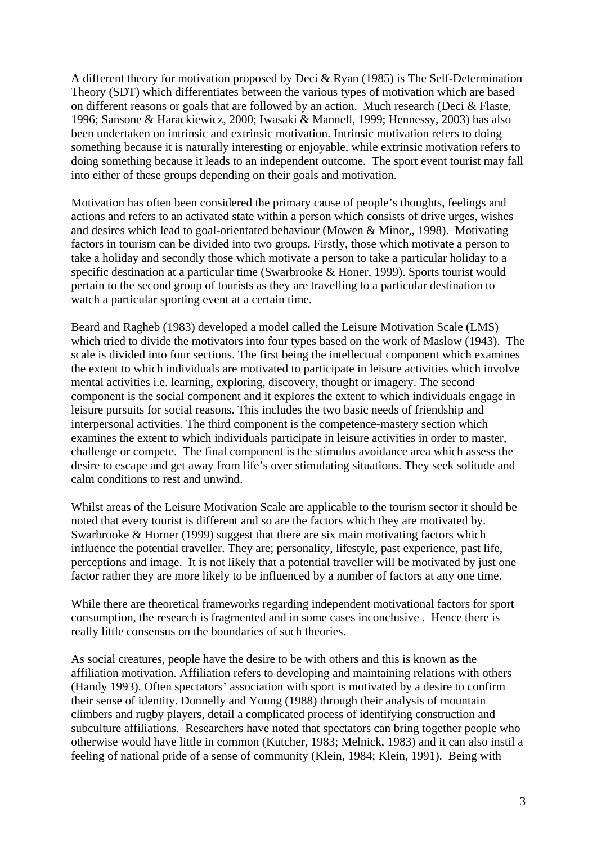A different theory for motivation proposed by Deci & Ryan (1985) is The Self-Determination Theory (SDT) which differentiates between the various types of motivation which are based on different reasons or goals that are followed by an action. Much research (Deci & Flaste, 1996; Sansone & Harackiewicz, 2000; Iwasaki & Mannell, 1999; Hennessy, 2003) has also been undertaken on intrinsic and extrinsic motivation. Intrinsic motivation refers to doing something because it is naturally interesting or enjoyable, while extrinsic motivation refers to doing something because it leads to an independent outcome. The sport event tourist may fall into either of these groups depending on their goals and motivation.

Motivation has often been considered the primary cause of people's thoughts, feelings and actions and refers to an activated state within a person which consists of drive urges, wishes and desires which lead to goal-orientated behaviour (Mowen & Minor,, 1998). Motivating factors in tourism can be divided into two groups. Firstly, those which motivate a person to take a holiday and secondly those which motivate a person to take a particular holiday to a specific destination at a particular time (Swarbrooke & Honer, 1999). Sports tourist would pertain to the second group of tourists as they are travelling to a particular destination to watch a particular sporting event at a certain time.

Beard and Ragheb (1983) developed a model called the Leisure Motivation Scale (LMS) which tried to divide the motivators into four types based on the work of Maslow (1943). The scale is divided into four sections. The first being the intellectual component which examines the extent to which individuals are motivated to participate in leisure activities which involve mental activities i.e. learning, exploring, discovery, thought or imagery. The second component is the social component and it explores the extent to which individuals engage in leisure pursuits for social reasons. This includes the two basic needs of friendship and interpersonal activities. The third component is the competence-mastery section which examines the extent to which individuals participate in leisure activities in order to master, challenge or compete. The final component is the stimulus avoidance area which assess the desire to escape and get away from life's over stimulating situations. They seek solitude and calm conditions to rest and unwind.

Whilst areas of the Leisure Motivation Scale are applicable to the tourism sector it should be noted that every tourist is different and so are the factors which they are motivated by. Swarbrooke & Horner (1999) suggest that there are six main motivating factors which influence the potential traveller. They are; personality, lifestyle, past experience, past life, perceptions and image. It is not likely that a potential traveller will be motivated by just one factor rather they are more likely to be influenced by a number of factors at any one time.

While there are theoretical frameworks regarding independent motivational factors for sport consumption, the research is fragmented and in some cases inconclusive . Hence there is really little consensus on the boundaries of such theories.

As social creatures, people have the desire to be with others and this is known as the affiliation motivation. Affiliation refers to developing and maintaining relations with others (Handy 1993). Often spectators' association with sport is motivated by a desire to confirm their sense of identity. Donnelly and Young (1988) through their analysis of mountain climbers and rugby players, detail a complicated process of identifying construction and subculture affiliations. Researchers have noted that spectators can bring together people who otherwise would have little in common (Kutcher, 1983; Melnick, 1983) and it can also instil a feeling of national pride of a sense of community (Klein, 1984; Klein, 1991). Being with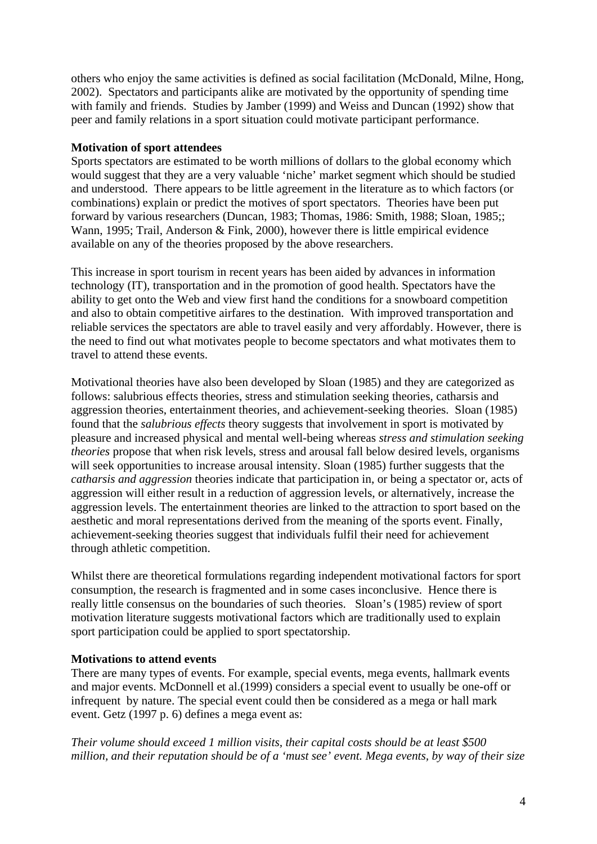others who enjoy the same activities is defined as social facilitation (McDonald, Milne, Hong, 2002). Spectators and participants alike are motivated by the opportunity of spending time with family and friends. Studies by Jamber (1999) and Weiss and Duncan (1992) show that peer and family relations in a sport situation could motivate participant performance.

#### **Motivation of sport attendees**

Sports spectators are estimated to be worth millions of dollars to the global economy which would suggest that they are a very valuable 'niche' market segment which should be studied and understood. There appears to be little agreement in the literature as to which factors (or combinations) explain or predict the motives of sport spectators. Theories have been put forward by various researchers (Duncan, 1983; Thomas, 1986: Smith, 1988; Sloan, 1985;; Wann, 1995; Trail, Anderson & Fink, 2000), however there is little empirical evidence available on any of the theories proposed by the above researchers.

This increase in sport tourism in recent years has been aided by advances in information technology (IT), transportation and in the promotion of good health. Spectators have the ability to get onto the Web and view first hand the conditions for a snowboard competition and also to obtain competitive airfares to the destination. With improved transportation and reliable services the spectators are able to travel easily and very affordably. However, there is the need to find out what motivates people to become spectators and what motivates them to travel to attend these events.

Motivational theories have also been developed by Sloan (1985) and they are categorized as follows: salubrious effects theories, stress and stimulation seeking theories, catharsis and aggression theories, entertainment theories, and achievement-seeking theories. Sloan (1985) found that the *salubrious effects* theory suggests that involvement in sport is motivated by pleasure and increased physical and mental well-being whereas *stress and stimulation seeking theories* propose that when risk levels, stress and arousal fall below desired levels, organisms will seek opportunities to increase arousal intensity. Sloan (1985) further suggests that the *catharsis and aggression* theories indicate that participation in, or being a spectator or, acts of aggression will either result in a reduction of aggression levels, or alternatively, increase the aggression levels. The entertainment theories are linked to the attraction to sport based on the aesthetic and moral representations derived from the meaning of the sports event. Finally, achievement-seeking theories suggest that individuals fulfil their need for achievement through athletic competition.

Whilst there are theoretical formulations regarding independent motivational factors for sport consumption, the research is fragmented and in some cases inconclusive. Hence there is really little consensus on the boundaries of such theories. Sloan's (1985) review of sport motivation literature suggests motivational factors which are traditionally used to explain sport participation could be applied to sport spectatorship.

## **Motivations to attend events**

There are many types of events. For example, special events, mega events, hallmark events and major events. McDonnell et al.(1999) considers a special event to usually be one-off or infrequent by nature. The special event could then be considered as a mega or hall mark event. Getz (1997 p. 6) defines a mega event as:

*Their volume should exceed 1 million visits, their capital costs should be at least \$500 million, and their reputation should be of a 'must see' event. Mega events, by way of their size*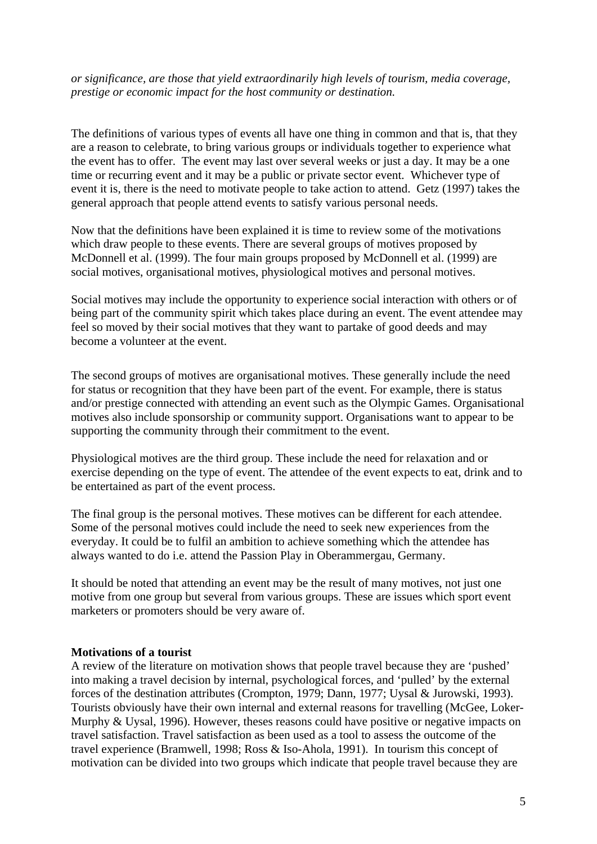*or significance, are those that yield extraordinarily high levels of tourism, media coverage, prestige or economic impact for the host community or destination.* 

The definitions of various types of events all have one thing in common and that is, that they are a reason to celebrate, to bring various groups or individuals together to experience what the event has to offer. The event may last over several weeks or just a day. It may be a one time or recurring event and it may be a public or private sector event. Whichever type of event it is, there is the need to motivate people to take action to attend. Getz (1997) takes the general approach that people attend events to satisfy various personal needs.

Now that the definitions have been explained it is time to review some of the motivations which draw people to these events. There are several groups of motives proposed by McDonnell et al. (1999). The four main groups proposed by McDonnell et al. (1999) are social motives, organisational motives, physiological motives and personal motives.

Social motives may include the opportunity to experience social interaction with others or of being part of the community spirit which takes place during an event. The event attendee may feel so moved by their social motives that they want to partake of good deeds and may become a volunteer at the event.

The second groups of motives are organisational motives. These generally include the need for status or recognition that they have been part of the event. For example, there is status and/or prestige connected with attending an event such as the Olympic Games. Organisational motives also include sponsorship or community support. Organisations want to appear to be supporting the community through their commitment to the event.

Physiological motives are the third group. These include the need for relaxation and or exercise depending on the type of event. The attendee of the event expects to eat, drink and to be entertained as part of the event process.

The final group is the personal motives. These motives can be different for each attendee. Some of the personal motives could include the need to seek new experiences from the everyday. It could be to fulfil an ambition to achieve something which the attendee has always wanted to do i.e. attend the Passion Play in Oberammergau, Germany.

It should be noted that attending an event may be the result of many motives, not just one motive from one group but several from various groups. These are issues which sport event marketers or promoters should be very aware of.

#### **Motivations of a tourist**

A review of the literature on motivation shows that people travel because they are 'pushed' into making a travel decision by internal, psychological forces, and 'pulled' by the external forces of the destination attributes (Crompton, 1979; Dann, 1977; Uysal & Jurowski, 1993). Tourists obviously have their own internal and external reasons for travelling (McGee, Loker-Murphy & Uysal, 1996). However, theses reasons could have positive or negative impacts on travel satisfaction. Travel satisfaction as been used as a tool to assess the outcome of the travel experience (Bramwell, 1998; Ross & Iso-Ahola, 1991). In tourism this concept of motivation can be divided into two groups which indicate that people travel because they are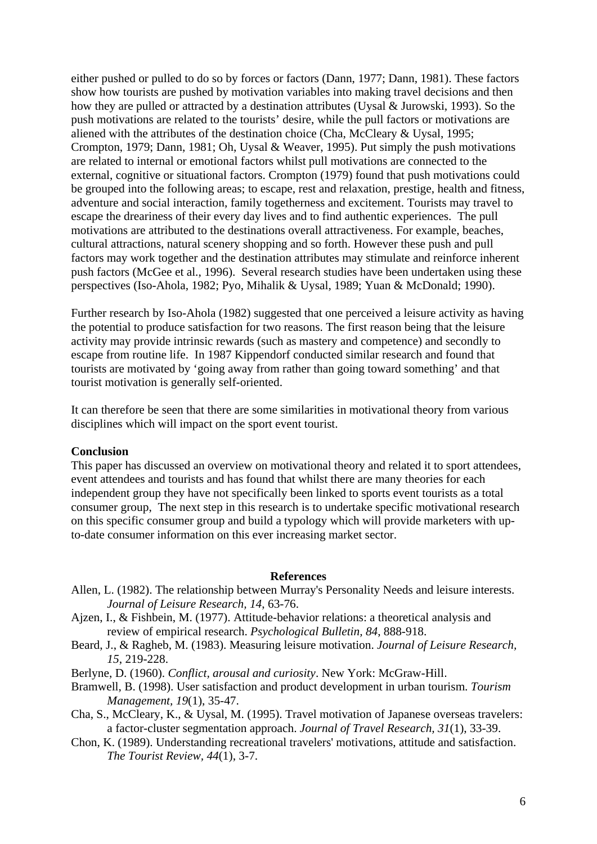either pushed or pulled to do so by forces or factors (Dann, 1977; Dann, 1981). These factors show how tourists are pushed by motivation variables into making travel decisions and then how they are pulled or attracted by a destination attributes (Uysal & Jurowski, 1993). So the push motivations are related to the tourists' desire, while the pull factors or motivations are aliened with the attributes of the destination choice (Cha, McCleary & Uysal, 1995; Crompton, 1979; Dann, 1981; Oh, Uysal & Weaver, 1995). Put simply the push motivations are related to internal or emotional factors whilst pull motivations are connected to the external, cognitive or situational factors. Crompton (1979) found that push motivations could be grouped into the following areas; to escape, rest and relaxation, prestige, health and fitness, adventure and social interaction, family togetherness and excitement. Tourists may travel to escape the dreariness of their every day lives and to find authentic experiences. The pull motivations are attributed to the destinations overall attractiveness. For example, beaches, cultural attractions, natural scenery shopping and so forth. However these push and pull factors may work together and the destination attributes may stimulate and reinforce inherent push factors (McGee et al., 1996). Several research studies have been undertaken using these perspectives (Iso-Ahola, 1982; Pyo, Mihalik & Uysal, 1989; Yuan & McDonald; 1990).

Further research by Iso-Ahola (1982) suggested that one perceived a leisure activity as having the potential to produce satisfaction for two reasons. The first reason being that the leisure activity may provide intrinsic rewards (such as mastery and competence) and secondly to escape from routine life. In 1987 Kippendorf conducted similar research and found that tourists are motivated by 'going away from rather than going toward something' and that tourist motivation is generally self-oriented.

It can therefore be seen that there are some similarities in motivational theory from various disciplines which will impact on the sport event tourist.

#### **Conclusion**

This paper has discussed an overview on motivational theory and related it to sport attendees, event attendees and tourists and has found that whilst there are many theories for each independent group they have not specifically been linked to sports event tourists as a total consumer group, The next step in this research is to undertake specific motivational research on this specific consumer group and build a typology which will provide marketers with upto-date consumer information on this ever increasing market sector.

#### **References**

- Allen, L. (1982). The relationship between Murray's Personality Needs and leisure interests. *Journal of Leisure Research, 14*, 63-76.
- Ajzen, I., & Fishbein, M. (1977). Attitude-behavior relations: a theoretical analysis and review of empirical research. *Psychological Bulletin, 84*, 888-918.
- Beard, J., & Ragheb, M. (1983). Measuring leisure motivation. *Journal of Leisure Research, 15*, 219-228.
- Berlyne, D. (1960). *Conflict, arousal and curiosity*. New York: McGraw-Hill.
- Bramwell, B. (1998). User satisfaction and product development in urban tourism. *Tourism Management, 19*(1), 35-47.
- Cha, S., McCleary, K., & Uysal, M. (1995). Travel motivation of Japanese overseas travelers: a factor-cluster segmentation approach. *Journal of Travel Research, 31*(1), 33-39.
- Chon, K. (1989). Understanding recreational travelers' motivations, attitude and satisfaction. *The Tourist Review, 44*(1), 3-7.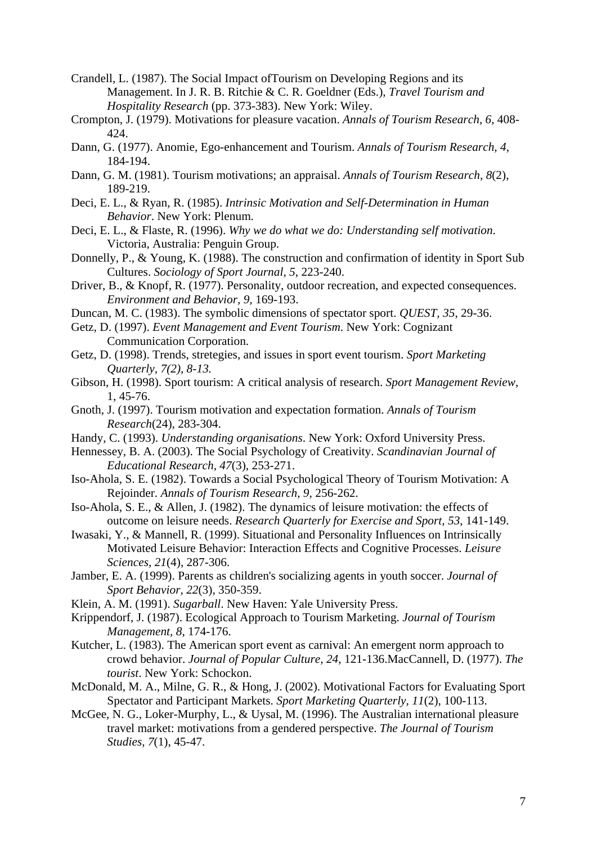- Crandell, L. (1987). The Social Impact ofTourism on Developing Regions and its Management. In J. R. B. Ritchie & C. R. Goeldner (Eds.), *Travel Tourism and Hospitality Research* (pp. 373-383). New York: Wiley.
- Crompton, J. (1979). Motivations for pleasure vacation. *Annals of Tourism Research, 6*, 408- 424.
- Dann, G. (1977). Anomie, Ego-enhancement and Tourism. *Annals of Tourism Research, 4*, 184-194.
- Dann, G. M. (1981). Tourism motivations; an appraisal. *Annals of Tourism Research, 8*(2), 189-219.
- Deci, E. L., & Ryan, R. (1985). *Intrinsic Motivation and Self-Determination in Human Behavior*. New York: Plenum.
- Deci, E. L., & Flaste, R. (1996). *Why we do what we do: Understanding self motivation*. Victoria, Australia: Penguin Group.
- Donnelly, P., & Young, K. (1988). The construction and confirmation of identity in Sport Sub Cultures. *Sociology of Sport Journal, 5*, 223-240.
- Driver, B., & Knopf, R. (1977). Personality, outdoor recreation, and expected consequences. *Environment and Behavior, 9*, 169-193.
- Duncan, M. C. (1983). The symbolic dimensions of spectator sport. *QUEST, 35*, 29-36.
- Getz, D. (1997). *Event Management and Event Tourism*. New York: Cognizant Communication Corporation.
- Getz, D. (1998). Trends, stretegies, and issues in sport event tourism. *Sport Marketing Quarterly, 7(2), 8-13.*
- Gibson, H. (1998). Sport tourism: A critical analysis of research. *Sport Management Review,*  1, 45-76.
- Gnoth, J. (1997). Tourism motivation and expectation formation. *Annals of Tourism Research*(24), 283-304.
- Handy, C. (1993). *Understanding organisations*. New York: Oxford University Press.
- Hennessey, B. A. (2003). The Social Psychology of Creativity. *Scandinavian Journal of Educational Research, 47*(3), 253-271.
- Iso-Ahola, S. E. (1982). Towards a Social Psychological Theory of Tourism Motivation: A Rejoinder. *Annals of Tourism Research, 9*, 256-262.
- Iso-Ahola, S. E., & Allen, J. (1982). The dynamics of leisure motivation: the effects of outcome on leisure needs. *Research Quarterly for Exercise and Sport, 53*, 141-149.
- Iwasaki, Y., & Mannell, R. (1999). Situational and Personality Influences on Intrinsically Motivated Leisure Behavior: Interaction Effects and Cognitive Processes. *Leisure Sciences, 21*(4), 287-306.
- Jamber, E. A. (1999). Parents as children's socializing agents in youth soccer. *Journal of Sport Behavior, 22*(3), 350-359.
- Klein, A. M. (1991). *Sugarball*. New Haven: Yale University Press.
- Krippendorf, J. (1987). Ecological Approach to Tourism Marketing. *Journal of Tourism Management, 8*, 174-176.
- Kutcher, L. (1983). The American sport event as carnival: An emergent norm approach to crowd behavior. *Journal of Popular Culture, 24*, 121-136.MacCannell, D. (1977). *The tourist*. New York: Schockon.
- McDonald, M. A., Milne, G. R., & Hong, J. (2002). Motivational Factors for Evaluating Sport Spectator and Participant Markets. *Sport Marketing Quarterly, 11*(2), 100-113.
- McGee, N. G., Loker-Murphy, L., & Uysal, M. (1996). The Australian international pleasure travel market: motivations from a gendered perspective. *The Journal of Tourism Studies, 7*(1), 45-47.